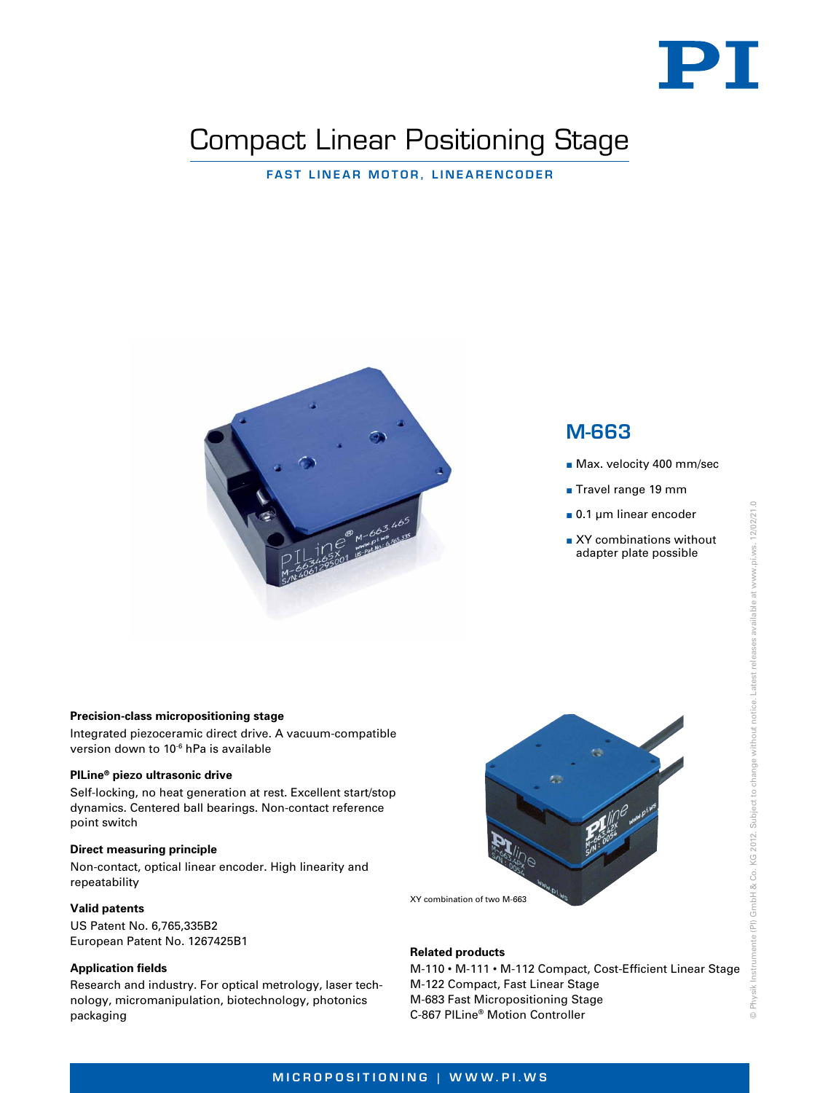

# Compact Linear Positioning Stage

Fast Linear Motor, Linearencoder



# M-663

- **Max. velocity 400 mm/sec**
- Travel range 19 mm
- 0.1 µm linear encoder
- XY combinations without adapter plate possible

#### **Precision-class micropositioning stage**

Integrated piezoceramic direct drive. A vacuum-compatible version down to 10-6 hPa is available

#### **PILine® piezo ultrasonic drive**

Self-locking, no heat generation at rest. Excellent start/stop dynamics. Centered ball bearings. Non-contact reference point switch

## **Direct measuring principle**

Non-contact, optical linear encoder. High linearity and repeatability

#### **Valid patents**

US Patent No. 6,765,335B2 European Patent No. 1267425B1

# **Application fields**

Research and industry. For optical metrology, laser technology, micromanipulation, biotechnology, photonics packaging



XY combination of two M-663

### **Related products**

M-110 • M-111 • M-112 Compact, Cost-Efficient Linear Stage M-122 Compact, Fast Linear Stage M-683 Fast Micropositioning Stage C-867 PILine® Motion Controller